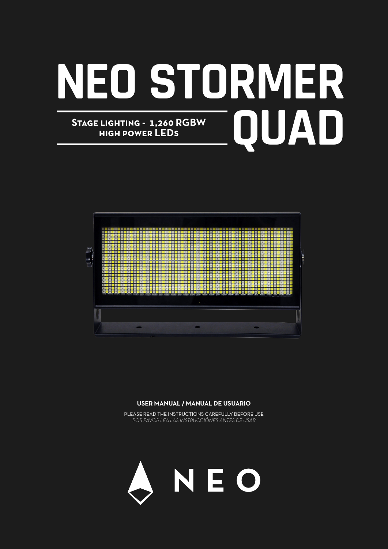# **NEO STORMER** STAGE LIGHTING - 1,260 RGBW<br>HIGH POWER LEDS<br> **AD high power LEDs**



#### **USER MANUAL / MANUAL DE USUARIO**

PLEASE READ THE INSTRUCTIONS CAREFULLY BEFORE USE *POR FAVOR LEA LAS INSTRUCCIÓNES ANTES DE USAR*

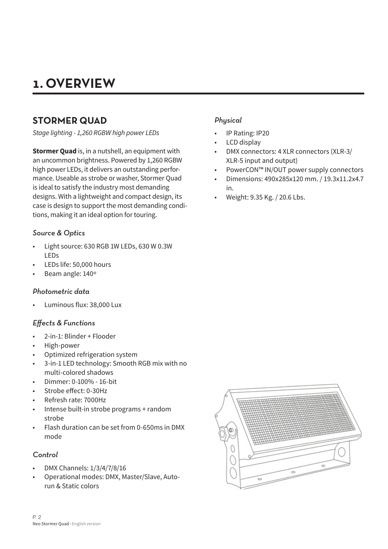# **1. OVERVIEW**

# **STORMER QUAD**

*Stage lighting - 1,260 RGBW high power LEDs*

**Stormer Quad** is, in a nutshell, an equipment with an uncommon brightness. Powered by 1,260 RGBW high power LEDs, it delivers an outstanding performance. Useable as strobe or washer, Stormer Quad is ideal to satisfy the industry most demanding designs. With a lightweight and compact design, its case is design to support the most demanding conditions, making it an ideal option for touring.

#### *Source & Optics*

- Light source: 630 RGB 1W LEDs, 630 W 0.3W LEDs
- LEDs life: 50,000 hours
- Beam angle: 140º

#### *Photometric data*

• Luminous flux: 38,000 Lux

#### *Effects & Functions*

- 2-in-1: Blinder + Flooder
- High-power
- Optimized refrigeration system
- 3-in-1 LED technology: Smooth RGB mix with no multi-colored shadows
- Dimmer: 0-100% 16-bit
- Strobe effect: 0-30Hz
- Refresh rate: 7000Hz
- Intense built-in strobe programs + random strobe
- Flash duration can be set from 0-650ms in DMX mode

#### *Control*

- DMX Channels: 1/3/4/7/8/16
- Operational modes: DMX, Master/Slave, Autorun & Static colors

#### *Physical*

- IP Rating: IP20
- LCD display
- DMX connectors: 4 XLR connectors (XLR-3/ XLR-5 input and output)
- PowerCON™ IN/OUT power supply connectors
- Dimensions: 490x285x120 mm. / 19.3x11.2x4.7 in.
- Weight: 9.35 Kg. / 20.6 Lbs.

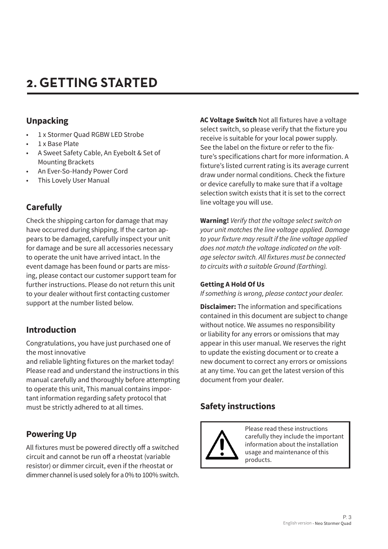# **2. GETTING STARTED**

# **Unpacking**

- 1 x Stormer Ouad RGBW LED Strobe
- 1 x Base Plate
- A Sweet Safety Cable, An Eyebolt & Set of Mounting Brackets
- An Ever-So-Handy Power Cord
- This Lovely User Manual

# **Carefully**

Check the shipping carton for damage that may have occurred during shipping. If the carton appears to be damaged, carefully inspect your unit for damage and be sure all accessories necessary to operate the unit have arrived intact. In the event damage has been found or parts are missing, please contact our customer support team for further instructions. Please do not return this unit to your dealer without first contacting customer support at the number listed below.

# **Introduction**

Congratulations, you have just purchased one of the most innovative

and reliable lighting fixtures on the market today! Please read and understand the instructions in this manual carefully and thoroughly before attempting to operate this unit, This manual contains important information regarding safety protocol that must be strictly adhered to at all times.

# **Powering Up**

All fixtures must be powered directly off a switched circuit and cannot be run off a rheostat (variable resistor) or dimmer circuit, even if the rheostat or dimmer channel is used solely for a 0% to 100% switch. **AC Voltage Switch** Not all fixtures have a voltage select switch, so please verify that the fixture you receive is suitable for your local power supply. See the label on the fixture or refer to the fixture's specifications chart for more information. A fixture's listed current rating is its average current draw under normal conditions. Check the fixture or device carefully to make sure that if a voltage selection switch exists that it is set to the correct line voltage you will use.

**Warning!** *Verify that the voltage select switch on your unit matches the line voltage applied. Damage*  to your fixture may result if the line voltage applied *does not match the voltage indicated on the volt*age selector switch. All fixtures must be connected to circuits with a suitable Ground (Earthing).

#### **Getting A Hold Of Us**

*If something is wrong, please contact your dealer.*

**Disclaimer:** The information and specifications contained in this document are subject to change without notice. We assumes no responsibility or liability for any errors or omissions that may appear in this user manual. We reserves the right to update the existing document or to create a new document to correct any errors or omissions at any time. You can get the latest version of this document from your dealer.

# **Safety instructions**



Please read these instructions carefully they include the important information about the installation usage and maintenance of this products.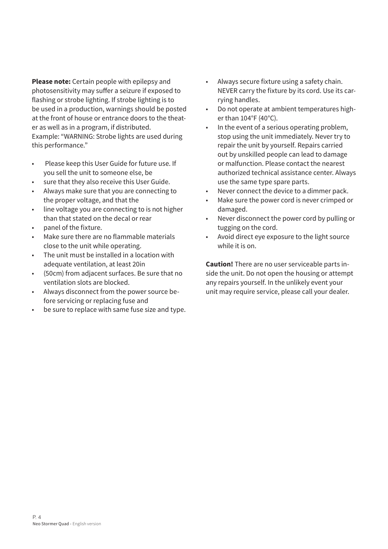**Please note:** Certain people with epilepsy and photosensitivity may suffer a seizure if exposed to flashing or strobe lighting. If strobe lighting is to be used in a production, warnings should be posted at the front of house or entrance doors to the theater as well as in a program, if distributed. Example: "WARNING: Strobe lights are used during this performance."

- Please keep this User Guide for future use. If you sell the unit to someone else, be
- sure that they also receive this User Guide.
- Always make sure that you are connecting to the proper voltage, and that the
- line voltage you are connecting to is not higher than that stated on the decal or rear
- panel of the fixture.
- Make sure there are no flammable materials close to the unit while operating.
- The unit must be installed in a location with adequate ventilation, at least 20in
- (50cm) from adjacent surfaces. Be sure that no ventilation slots are blocked.
- Always disconnect from the power source before servicing or replacing fuse and
- be sure to replace with same fuse size and type.
- Always secure fixture using a safety chain. NEVER carry the fixture by its cord. Use its carrying handles.
- Do not operate at ambient temperatures higher than 104°F (40°C).
- In the event of a serious operating problem, stop using the unit immediately. Never try to repair the unit by yourself. Repairs carried out by unskilled people can lead to damage or malfunction. Please contact the nearest authorized technical assistance center. Always use the same type spare parts.
- Never connect the device to a dimmer pack.
- Make sure the power cord is never crimped or damaged.
- Never disconnect the power cord by pulling or tugging on the cord.
- Avoid direct eye exposure to the light source while it is on.

**Caution!** There are no user serviceable parts inside the unit. Do not open the housing or attempt any repairs yourself. In the unlikely event your unit may require service, please call your dealer.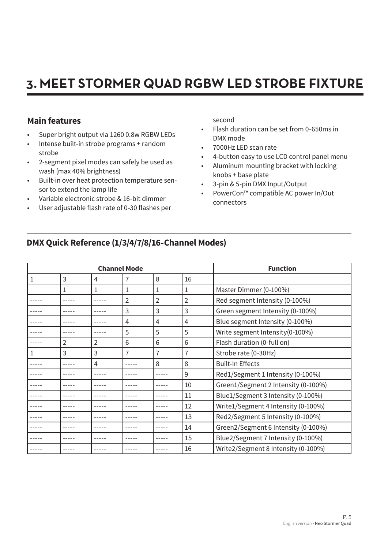# **3. MEET STORMER QUAD RGBW LED STROBE FIXTURE**

# **Main features**

- Super bright output via 1260 0.8w RGBW LEDs
- Intense built-in strobe programs + random strobe
- 2-segment pixel modes can safely be used as wash (max 40% brightness)
- Built-in over heat protection temperature sensor to extend the lamp life
- Variable electronic strobe & 16-bit dimmer
- User adjustable flash rate of 0-30 flashes per

second

- Flash duration can be set from 0-650ms in DMX mode
- 7000Hz LED scan rate
- 4-button easy to use LCD control panel menu
- Aluminum mounting bracket with locking knobs + base plate
- 3-pin & 5-pin DMX Input/Output
- PowerCon™ compatible AC power In/Out connectors

# **DMX Quick Reference (1/3/4/7/8/16-Channel Modes)**

| <b>Channel Mode</b> |                |   |                |   | <b>Function</b> |                                     |
|---------------------|----------------|---|----------------|---|-----------------|-------------------------------------|
| 1                   | 3              | 4 | 7              | 8 | 16              |                                     |
|                     | 1              | 1 | 1              | 1 | 1               | Master Dimmer (0-100%)              |
|                     |                |   | $\overline{2}$ | 2 | $\overline{2}$  | Red segment Intensity (0-100%)      |
|                     |                |   | 3              | 3 | 3               | Green segment Intensity (0-100%)    |
|                     |                |   | 4              | 4 | 4               | Blue segment Intensity (0-100%)     |
|                     |                |   | 5              | 5 | 5               | Write segment Intensity (0-100%)    |
|                     | $\overline{2}$ | 2 | 6              | 6 | 6               | Flash duration (0-full on)          |
| 1                   | 3              | 3 | 7              | 7 | 7               | Strobe rate (0-30Hz)                |
|                     |                | 4 |                | 8 | 8               | <b>Built-In Effects</b>             |
|                     |                |   |                |   | 9               | Red1/Segment 1 Intensity (0-100%)   |
|                     |                |   |                |   | 10              | Green1/Segment 2 Intensity (0-100%) |
|                     |                |   |                |   | 11              | Blue1/Segment 3 Intensity (0-100%)  |
|                     |                |   |                |   | 12              | Write1/Segment 4 Intensity (0-100%) |
|                     |                |   |                |   | 13              | Red2/Segment 5 Intensity (0-100%)   |
|                     |                |   |                |   | 14              | Green2/Segment 6 Intensity (0-100%) |
|                     |                |   |                |   | 15              | Blue2/Segment 7 Intensity (0-100%)  |
|                     |                |   |                |   | 16              | Write2/Segment 8 Intensity (0-100%) |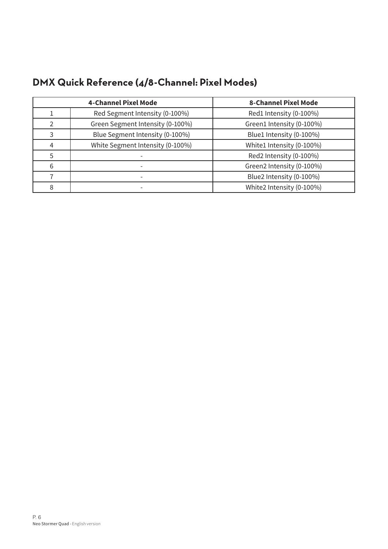|   | <b>4-Channel Pixel Mode</b>      | <b>8-Channel Pixel Mode</b> |
|---|----------------------------------|-----------------------------|
|   | Red Segment Intensity (0-100%)   | Red1 Intensity (0-100%)     |
|   | Green Segment Intensity (0-100%) | Green1 Intensity (0-100%)   |
| 3 | Blue Segment Intensity (0-100%)  | Blue1 Intensity (0-100%)    |
| 4 | White Segment Intensity (0-100%) | White1 Intensity (0-100%)   |
| 5 |                                  | Red2 Intensity (0-100%)     |
| 6 |                                  | Green2 Intensity (0-100%)   |
|   |                                  | Blue2 Intensity (0-100%)    |
| 8 |                                  | White2 Intensity (0-100%)   |

# **DMX Quick Reference (4/8-Channel: Pixel Modes)**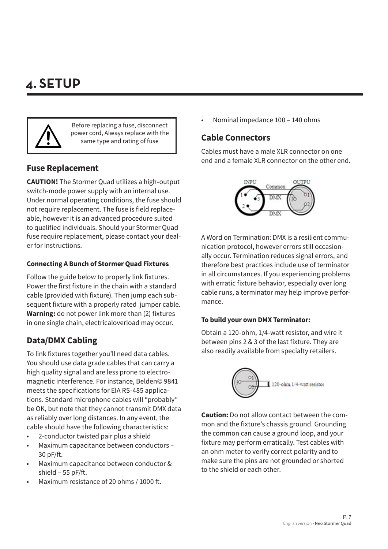# **4. SETUP**



Before replacing a fuse, disconnect power cord, Always replace with the same type and rating of fuse

# **Fuse Replacement**

**CAUTION!** The Stormer Quad utilizes a high-output switch-mode power supply with an internal use. Under normal operating conditions, the fuse should not require replacement. The fuse is field replaceable, however it is an advanced procedure suited to qualified individuals. Should your Stormer Quad fuse require replacement, please contact your dealer for instructions.

#### **Connecting A Bunch of Stormer Quad Fixtures**

Follow the guide below to properly link fixtures. Power the first fixture in the chain with a standard cable (provided with fixture). Then jump each subsequent fixture with a properly rated jumper cable. **Warning:** do not power link more than (2) fixtures in one single chain, electricaloverload may occur.

# **Data/DMX Cabling**

To link fixtures together you'll need data cables. You should use data grade cables that can carry a high quality signal and are less prone to electromagnetic interference. For instance, Belden© 9841 meets the specifications for EIA RS-485 applications. Standard microphone cables will "probably" be OK, but note that they cannot transmit DMX data as reliably over long distances. In any event, the cable should have the following characteristics:

- 2-conductor twisted pair plus a shield
- Maximum capacitance between conductors 30 pF/ft.
- Maximum capacitance between conductor & shield – 55 pF/ft.
- Maximum resistance of 20 ohms / 1000 ft.

• Nominal impedance 100 – 140 ohms

### **Cable Connectors**

Cables must have a male XLR connector on one end and a female XLR connector on the other end.



A Word on Termination: DMX is a resilient communication protocol, however errors still occasionally occur. Termination reduces signal errors, and therefore best practices include use of terminator in all circumstances. If you experiencing problems with erratic fixture behavior, especially over long cable runs, a terminator may help improve performance.

#### **To build your own DMX Terminator:**

Obtain a 120-ohm, 1/4-watt resistor, and wire it between pins 2 & 3 of the last fixture. They are also readily available from specialty retailers.



**Caution:** Do not allow contact between the common and the fixture's chassis ground. Grounding the common can cause a ground loop, and your fixture may perform erratically. Test cables with an ohm meter to verify correct polarity and to make sure the pins are not grounded or shorted to the shield or each other.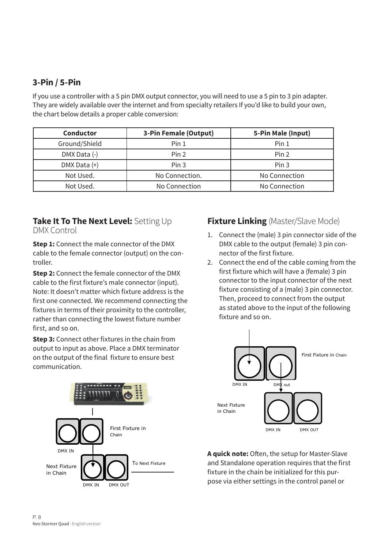# **3-Pin / 5-Pin**

If you use a controller with a 5 pin DMX output connector, you will need to use a 5 pin to 3 pin adapter. They are widely available over the internet and from specialty retailers If you'd like to build your own, the chart below details a proper cable conversion:

| <b>Conductor</b> | 3-Pin Female (Output) | 5-Pin Male (Input) |
|------------------|-----------------------|--------------------|
| Ground/Shield    | Pin <sub>1</sub>      | Pin <sub>1</sub>   |
| DMX Data (-)     | Pin 2                 | Pin 2              |
| DMX Data (+)     | Pin <sub>3</sub>      | Pin <sub>3</sub>   |
| Not Used.        | No Connection.        | No Connection      |
| Not Used.        | No Connection         | No Connection      |

#### **Take It To The Next Level:** Setting Up DMX Control

**Step 1:** Connect the male connector of the DMX cable to the female connector (output) on the controller.

**Step 2:** Connect the female connector of the DMX cable to the first fixture's male connector (input). Note: It doesn't matter which fixture address is the first one connected. We recommend connecting the fixtures in terms of their proximity to the controller, rather than connecting the lowest fixture number first, and so on.

**Step 3:** Connect other fixtures in the chain from output to input as above. Place a DMX terminator on the output of the final fixture to ensure best communication.



# **Fixture Linking** (Master/Slave Mode)

- 1. Connect the (male) 3 pin connector side of the DMX cable to the output (female) 3 pin connector of the first fixture.
- 2. Connect the end of the cable coming from the first fixture which will have a (female) 3 pin connector to the input connector of the next fixture consisting of a (male) 3 pin connector. Then, proceed to connect from the output as stated above to the input of the following fixture and so on.



**A quick note:** Often, the setup for Master-Slave and Standalone operation requires that the first fixture in the chain be initialized for this purpose via either settings in the control panel or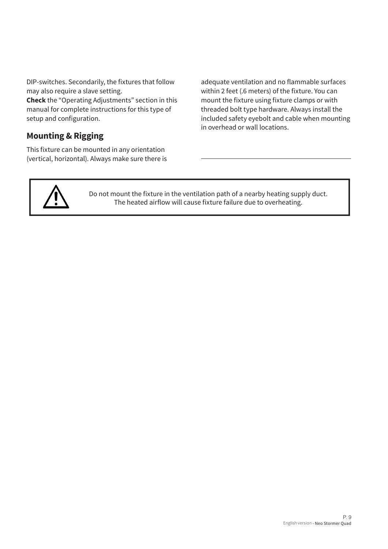DIP-switches. Secondarily, the fixtures that follow may also require a slave setting.

**Check** the "Operating Adjustments" section in this manual for complete instructions for this type of setup and configuration.

# **Mounting & Rigging**

This fixture can be mounted in any orientation (vertical, horizontal). Always make sure there is adequate ventilation and no flammable surfaces within 2 feet (.6 meters) of the fixture. You can mount the fixture using fixture clamps or with threaded bolt type hardware. Always install the included safety eyebolt and cable when mounting in overhead or wall locations.



Do not mount the fixture in the ventilation path of a nearby heating supply duct. The heated airflow will cause fixture failure due to overheating.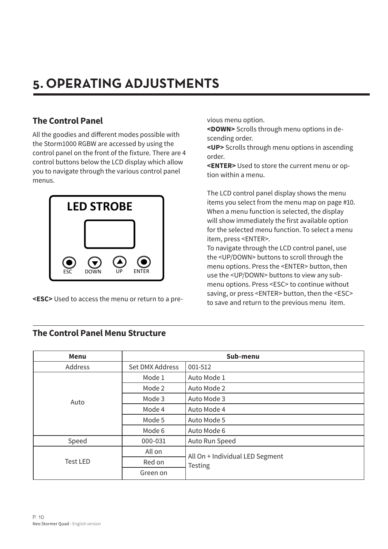# **5. OPERATING ADJUSTMENTS**

# **The Control Panel**

All the goodies and different modes possible with the Storm1000 RGBW are accessed by using the control panel on the front of the fixture. There are 4 control buttons below the LCD display which allow you to navigate through the various control panel menus.



**<ESC>** Used to access the menu or return to a pre-

vious menu option.

**<DOWN>** Scrolls through menu options in descending order.

**<UP>** Scrolls through menu options in ascending order.

**<ENTER>** Used to store the current menu or option within a menu.

The LCD control panel display shows the menu items you select from the menu map on page #10. When a menu function is selected, the display will show immediately the first available option for the selected menu function. To select a menu item, press <ENTER>.

To navigate through the LCD control panel, use the <UP/DOWN> buttons to scroll through the menu options. Press the <ENTER> button, then use the <UP/DOWN> buttons to view any submenu options. Press <ESC> to continue without saving, or press <ENTER> button, then the <ESC> to save and return to the previous menu item.

| <b>Menu</b>     |                 | Sub-menu                                   |
|-----------------|-----------------|--------------------------------------------|
| Address         | Set DMX Address | 001-512                                    |
|                 | Mode 1          | Auto Mode 1                                |
|                 | Mode 2          | Auto Mode 2                                |
| Auto            | Mode 3          | Auto Mode 3                                |
|                 | Mode 4          | Auto Mode 4                                |
|                 | Mode 5          | Auto Mode 5                                |
|                 | Mode 6          | Auto Mode 6                                |
| Speed           | 000-031         | Auto Run Speed                             |
|                 | All on          | All On + Individual LED Segment<br>Testing |
| <b>Test LED</b> | Red on          |                                            |
|                 | Green on        |                                            |

### **The Control Panel Menu Structure**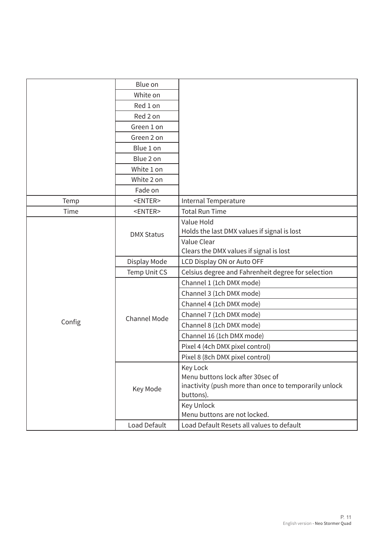|        | Blue on             |                                                       |
|--------|---------------------|-------------------------------------------------------|
|        | White on            |                                                       |
|        | Red 1 on            |                                                       |
|        | Red 2 on            |                                                       |
|        | Green 1 on          |                                                       |
|        | Green 2 on          |                                                       |
|        | Blue 1 on           |                                                       |
|        | Blue 2 on           |                                                       |
|        | White 1 on          |                                                       |
|        | White 2 on          |                                                       |
|        | Fade on             |                                                       |
| Temp   | <enter></enter>     | Internal Temperature                                  |
| Time   | <enter></enter>     | <b>Total Run Time</b>                                 |
|        |                     | Value Hold                                            |
|        | <b>DMX Status</b>   | Holds the last DMX values if signal is lost           |
|        |                     | Value Clear                                           |
|        |                     | Clears the DMX values if signal is lost               |
|        | Display Mode        | LCD Display ON or Auto OFF                            |
|        | Temp Unit CS        | Celsius degree and Fahrenheit degree for selection    |
|        |                     | Channel 1 (1ch DMX mode)                              |
|        |                     | Channel 3 (1ch DMX mode)                              |
|        |                     | Channel 4 (1ch DMX mode)                              |
|        | <b>Channel Mode</b> | Channel 7 (1ch DMX mode)                              |
| Config |                     | Channel 8 (1ch DMX mode)                              |
|        |                     | Channel 16 (1ch DMX mode)                             |
|        |                     | Pixel 4 (4ch DMX pixel control)                       |
|        |                     | Pixel 8 (8ch DMX pixel control)                       |
|        |                     | Key Lock                                              |
|        |                     | Menu buttons lock after 30sec of                      |
|        | Key Mode            | inactivity (push more than once to temporarily unlock |
|        |                     | buttons).                                             |
|        |                     | Key Unlock                                            |
|        |                     | Menu buttons are not locked.                          |
|        | Load Default        | Load Default Resets all values to default             |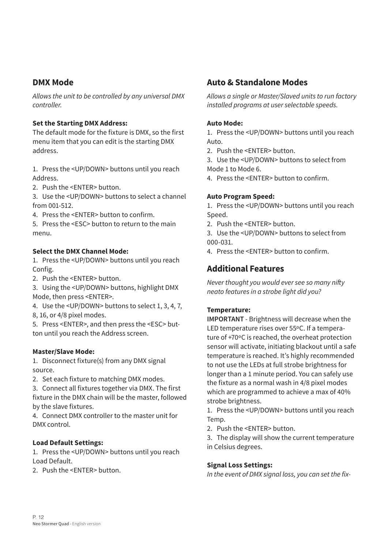### **DMX Mode**

Allows the unit to be controlled by any universal DMX *controller.*

#### **Set the Starting DMX Address:**

The default mode for the fixture is DMX, so the first menu item that you can edit is the starting DMX address.

1. Press the <UP/DOWN> buttons until you reach Address.

2. Push the <ENTER> button.

3. Use the <UP/DOWN> buttons to select a channel from 001-512.

4. Press the <ENTER> button to confirm.

5. Press the <ESC> button to return to the main menu.

#### **Select the DMX Channel Mode:**

1. Press the <UP/DOWN> buttons until you reach Config.

2. Push the <ENTER> button.

3. Using the <UP/DOWN> buttons, highlight DMX Mode, then press <ENTER>.

4. Use the <UP/DOWN> buttons to select 1, 3, 4, 7,

8, 16, or 4/8 pixel modes.

5. Press <ENTER>, and then press the <ESC> button until you reach the Address screen.

#### **Master/Slave Mode:**

1. Disconnect fixture(s) from any DMX signal source.

2. Set each fixture to matching DMX modes.

3. Connect all fixtures together via DMX. The first fixture in the DMX chain will be the master, followed by the slave fixtures.

4. Connect DMX controller to the master unit for DMX control.

#### **Load Default Settings:**

1. Press the <UP/DOWN> buttons until you reach Load Default.

2. Push the <ENTER> button.

### **Auto & Standalone Modes**

Allows a single or Master/Slaved units to run factory installed programs at user selectable speeds.

#### **Auto Mode:**

1. Press the <UP/DOWN> buttons until you reach Auto.

2. Push the <ENTER> button.

3. Use the <UP/DOWN> buttons to select from Mode 1 to Mode 6.

4. Press the <ENTER> button to confirm.

#### **Auto Program Speed:**

1. Press the <UP/DOWN> buttons until you reach Speed.

2. Push the <ENTER> button.

3. Use the <UP/DOWN> buttons to select from 000-031.

4. Press the <ENTER> button to confirm.

# **Additional Features**

Never thought you would ever see so many nifty neato features in a strobe light did you?

#### **Temperature:**

**IMPORTANT** - Brightness will decrease when the LED temperature rises over 55ºC. If a temperature of +70ºC is reached, the overheat protection sensor will activate, initiating blackout until a safe temperature is reached. It's highly recommended to not use the LEDs at full strobe brightness for longer than a 1 minute period. You can safely use the fixture as a normal wash in 4/8 pixel modes which are programmed to achieve a max of 40% strobe brightness.

1. Press the <UP/DOWN> buttons until you reach Temp.

2. Push the <ENTER> button.

3. The display will show the current temperature in Celsius degrees.

#### **Signal Loss Settings:**

In the event of DMX signal loss, you can set the fix*-*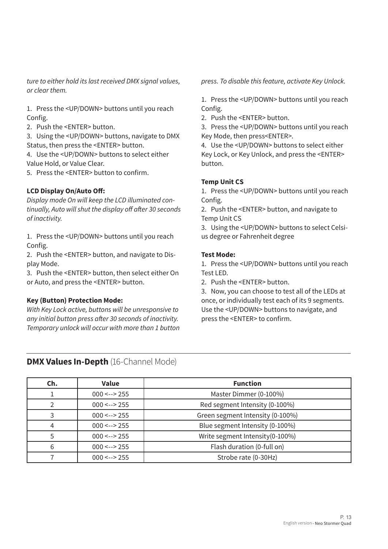ture to either hold its last received DMX signal values, *or clear them.*

1. Press the <UP/DOWN> buttons until you reach Config.

2. Push the <ENTER> button.

3. Using the <UP/DOWN> buttons, navigate to DMX Status, then press the <ENTER> button.

4. Use the <UP/DOWN> buttons to select either Value Hold, or Value Clear.

5. Press the <ENTER> button to confirm.

#### **LCD Display On/Auto Off:**

*Display mode On will keep the LCD illuminated con*tinually, Auto will shut the display off after 30 seconds *of inactivity.*

1. Press the <UP/DOWN> buttons until you reach Config.

2. Push the <ENTER> button, and navigate to Display Mode.

3. Push the <ENTER> button, then select either On or Auto, and press the <ENTER> button.

#### **Key (Button) Protection Mode:**

With Key Lock active, buttons will be unresponsive to any initial button press after 30 seconds of inactivity. Temporary unlock will occur with more than 1 button press. To disable this feature, activate Key Unlock.

1. Press the <UP/DOWN> buttons until you reach Config.

2. Push the <ENTER> button.

3. Press the <UP/DOWN> buttons until you reach Key Mode, then press<ENTER>.

4. Use the <UP/DOWN> buttons to select either Key Lock, or Key Unlock, and press the <ENTER> button.

#### **Temp Unit CS**

1. Press the <UP/DOWN> buttons until you reach Config.

2. Push the <ENTER> button, and navigate to Temp Unit CS

3. Using the <UP/DOWN> buttons to select Celsius degree or Fahrenheit degree

#### **Test Mode:**

1. Press the <UP/DOWN> buttons until you reach Test LED.

2. Push the <ENTER> button.

3. Now, you can choose to test all of the LEDs at once, or individually test each of its 9 segments. Use the <UP/DOWN> buttons to navigate, and press the <ENTER> to confirm.

#### **DMX Values In-Depth** (16-Channel Mode)

| Ch. | <b>Value</b>   | <b>Function</b>                  |
|-----|----------------|----------------------------------|
|     | $000 \le -255$ | Master Dimmer (0-100%)           |
|     | $000 \le -255$ | Red segment Intensity (0-100%)   |
|     | $000 \le -255$ | Green segment Intensity (0-100%) |
| 4   | $000 \le -255$ | Blue segment Intensity (0-100%)  |
|     | $000 \le -255$ | Write segment Intensity (0-100%) |
| 6   | $000 \le -255$ | Flash duration (0-full on)       |
|     | $000 \le -255$ | Strobe rate (0-30Hz)             |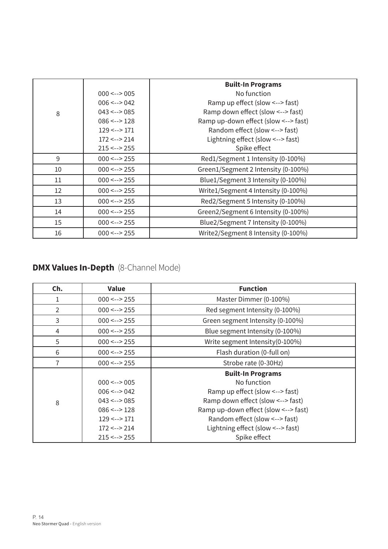|    |                      | <b>Built-In Programs</b>             |
|----|----------------------|--------------------------------------|
|    | $000 \le -2005$      | No function                          |
|    | $006 \le -2042$      | Ramp up effect (slow <--> fast)      |
| 8  | $043 \le -2085$      | Ramp down effect (slow <--> fast)    |
|    | $086 \leftarrow 128$ | Ramp up-down effect (slow <--> fast) |
|    | $129 \le -2171$      | Random effect (slow <--> fast)       |
|    | $172 \le -214$       | Lightning effect (slow <--> fast)    |
|    | $215 \leftarrow$ 255 | Spike effect                         |
| 9  | $000 \le -255$       | Red1/Segment 1 Intensity (0-100%)    |
| 10 | $000 \le -255$       | Green1/Segment 2 Intensity (0-100%)  |
| 11 | $000 \le -255$       | Blue1/Segment 3 Intensity (0-100%)   |
| 12 | $000 \le -255$       | Write1/Segment 4 Intensity (0-100%)  |
| 13 | $000 \le -255$       | Red2/Segment 5 Intensity (0-100%)    |
| 14 | $000 \le -255$       | Green2/Segment 6 Intensity (0-100%)  |
| 15 | $000 \le -255$       | Blue2/Segment 7 Intensity (0-100%)   |
| 16 | $000 \le -255$       | Write2/Segment 8 Intensity (0-100%)  |

# **DMX Values In-Depth** (8-Channel Mode)

| Ch.            | <b>Value</b>         | <b>Function</b>                      |
|----------------|----------------------|--------------------------------------|
|                | $000 \le -255$       | Master Dimmer (0-100%)               |
| $\overline{2}$ | $000 \le -255$       | Red segment Intensity (0-100%)       |
| 3              | $000 \le -255$       | Green segment Intensity (0-100%)     |
| 4              | $000 \le -255$       | Blue segment Intensity (0-100%)      |
| 5              | $000 \le -255$       | Write segment Intensity (0-100%)     |
| 6              | $000 \le -255$       | Flash duration (0-full on)           |
|                | $000 \le -255$       | Strobe rate (0-30Hz)                 |
|                |                      | <b>Built-In Programs</b>             |
|                | $000 \le -2005$      | No function                          |
|                | $006 \le -5042$      | Ramp up effect (slow <--> fast)      |
| 8              | $043 \le -2085$      | Ramp down effect (slow <--> fast)    |
|                | $086 \leftarrow 128$ | Ramp up-down effect (slow <--> fast) |
|                | $129 \leftarrow 171$ | Random effect (slow <--> fast)       |
|                | $172 \leftarrow$ 214 | Lightning effect (slow <--> fast)    |
|                | $215 \leftarrow 255$ | Spike effect                         |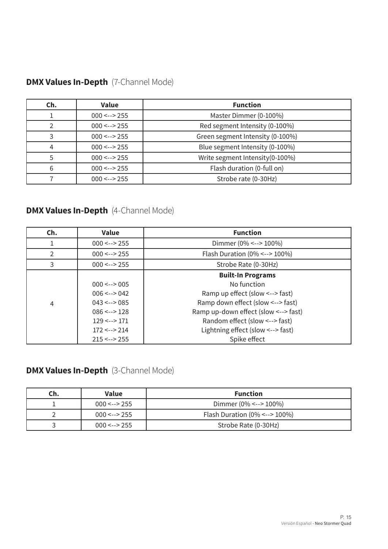| <b>DMX Values In-Depth</b> (7-Channel Mode) |  |
|---------------------------------------------|--|
|---------------------------------------------|--|

| Ch. | <b>Value</b>   | <b>Function</b>                  |
|-----|----------------|----------------------------------|
|     | $000 \le -255$ | Master Dimmer (0-100%)           |
|     | $000 \le -255$ | Red segment Intensity (0-100%)   |
|     | $000 \le -255$ | Green segment Intensity (0-100%) |
| 4   | $000 \le -255$ | Blue segment Intensity (0-100%)  |
|     | $000 \le -255$ | Write segment Intensity (0-100%) |
| 6   | $000 \le -255$ | Flash duration (0-full on)       |
|     | $000 \le -255$ | Strobe rate (0-30Hz)             |

# **DMX Values In-Depth** (4-Channel Mode)

| Ch.            | <b>Value</b>         | <b>Function</b>                      |
|----------------|----------------------|--------------------------------------|
|                | $000 \le -255$       | Dimmer (0% <--> 100%)                |
| $\mathcal{P}$  | $000 \le -255$       | Flash Duration ( $0\% < -$ > 100%)   |
| 3              | $000 \le -255$       | Strobe Rate (0-30Hz)                 |
|                |                      | <b>Built-In Programs</b>             |
|                | $000 \le -2005$      | No function                          |
|                | $006 \le -2042$      | Ramp up effect (slow <--> fast)      |
| $\overline{4}$ | $043 \le -2085$      | Ramp down effect (slow <--> fast)    |
|                | $086 \le -2128$      | Ramp up-down effect (slow <--> fast) |
|                | $129 \le -2171$      | Random effect (slow <--> fast)       |
|                | $172 \le -214$       | Lightning effect (slow <--> fast)    |
|                | $215 \leftarrow 255$ | Spike effect                         |

# **DMX Values In-Depth** (3-Channel Mode)

| Ch. | Value          | <b>Function</b>                    |
|-----|----------------|------------------------------------|
|     | $000 \le -255$ | Dimmer (0% <--> 100%)              |
|     | $000 \le -255$ | Flash Duration $(0\% < - > 100\%)$ |
|     | $000 \le -255$ | Strobe Rate (0-30Hz)               |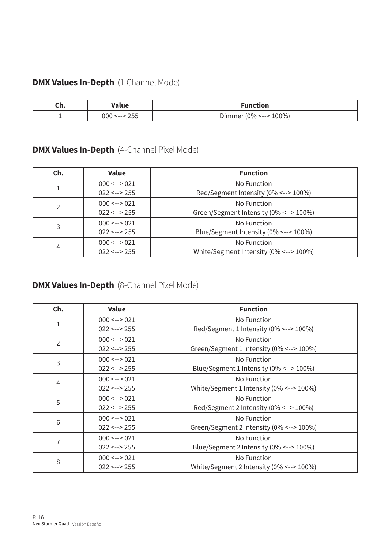# **DMX Values In-Depth** (1-Channel Mode)

| un. | Value          | <b>Function</b>       |
|-----|----------------|-----------------------|
|     | $000 \le -255$ | Dimmer (0% <--> 100%) |

# **DMX Values In-Depth** (4-Channel Pixel Mode)

| Ch.            | <b>Value</b>         | <b>Function</b>                        |  |
|----------------|----------------------|----------------------------------------|--|
|                | $000 \le -2021$      | No Function                            |  |
|                | $022 \leftarrow 255$ | Red/Segment Intensity (0% <--> 100%)   |  |
| $\mathcal{P}$  | $000 \le -2021$      | No Function                            |  |
|                | $022 \le -255$       | Green/Segment Intensity (0% <--> 100%) |  |
| 3              | $000 \le -2021$      | No Function                            |  |
|                | $022 \le -255$       | Blue/Segment Intensity (0% <--> 100%)  |  |
| $\overline{4}$ | $000 \le -2021$      | No Function                            |  |
|                | $022 \leftarrow 255$ | White/Segment Intensity (0% <--> 100%) |  |

# **DMX Values In-Depth** (8-Channel Pixel Mode)

| Ch.            | <b>Value</b>         | <b>Function</b>                               |
|----------------|----------------------|-----------------------------------------------|
|                | $000 \le -2021$      | No Function                                   |
| $\mathbf 1$    | $022 \leftarrow 255$ | Red/Segment 1 Intensity (0% <--> 100%)        |
| $\overline{2}$ | $000 \le -2021$      | No Function                                   |
|                | $022 \leftarrow 255$ | Green/Segment 1 Intensity (0% <--> 100%)      |
| 3              | $000 \le -2021$      | No Function                                   |
|                | $022 \leftarrow 255$ | Blue/Segment 1 Intensity (0% <--> 100%)       |
| 4              | $000 \le -2021$      | No Function                                   |
|                | $022 \leftarrow 255$ | White/Segment 1 Intensity (0% <--> 100%)      |
| 5              | $000 \le -2021$      | No Function                                   |
|                | $022 \leftarrow 255$ | Red/Segment 2 Intensity (0% <--> 100%)        |
| 6              | $000 \le -2021$      | No Function                                   |
|                | $022 \leftarrow 255$ | Green/Segment 2 Intensity (0% <--> 100%)      |
| 7              | $000 \le -2021$      | No Function                                   |
|                | $022 \leftarrow 255$ | Blue/Segment 2 Intensity (0% <--> 100%)       |
| 8              | $000 \le -2021$      | No Function                                   |
|                | $022 \leftarrow 255$ | White/Segment 2 Intensity $(0\% < - > 100\%)$ |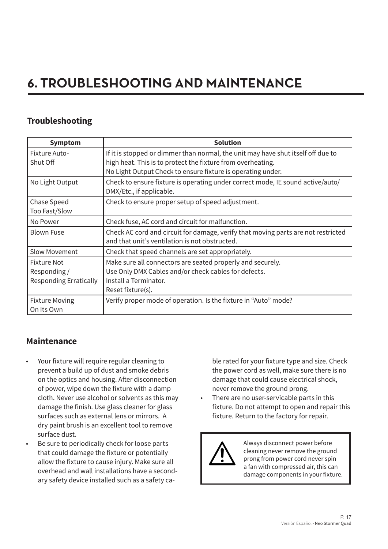# **6. TROUBLESHOOTING AND MAINTENANCE**

# **Troubleshooting**

| <b>Symptom</b>                                                     | <b>Solution</b>                                                                                                                                                                                                |
|--------------------------------------------------------------------|----------------------------------------------------------------------------------------------------------------------------------------------------------------------------------------------------------------|
| <b>Fixture Auto-</b><br>Shut Off                                   | If it is stopped or dimmer than normal, the unit may have shut itself off due to<br>high heat. This is to protect the fixture from overheating.<br>No Light Output Check to ensure fixture is operating under. |
| No Light Output                                                    | Check to ensure fixture is operating under correct mode, IE sound active/auto/<br>DMX/Etc., if applicable.                                                                                                     |
| Chase Speed<br>Too Fast/Slow                                       | Check to ensure proper setup of speed adjustment.                                                                                                                                                              |
| No Power                                                           | Check fuse, AC cord and circuit for malfunction.                                                                                                                                                               |
| <b>Blown Fuse</b>                                                  | Check AC cord and circuit for damage, verify that moving parts are not restricted<br>and that unit's ventilation is not obstructed.                                                                            |
| <b>Slow Movement</b>                                               | Check that speed channels are set appropriately.                                                                                                                                                               |
| <b>Fixture Not</b><br>Responding/<br><b>Responding Erratically</b> | Make sure all connectors are seated properly and securely.<br>Use Only DMX Cables and/or check cables for defects.<br>Install a Terminator.<br>Reset fixture(s).                                               |
| <b>Fixture Moving</b><br>On Its Own                                | Verify proper mode of operation. Is the fixture in "Auto" mode?                                                                                                                                                |

# **Maintenance**

- Your fixture will require regular cleaning to prevent a build up of dust and smoke debris on the optics and housing. After disconnection of power, wipe down the fixture with a damp cloth. Never use alcohol or solvents as this may damage the finish. Use glass cleaner for glass surfaces such as external lens or mirrors. A dry paint brush is an excellent tool to remove surface dust.
- Be sure to periodically check for loose parts that could damage the fixture or potentially allow the fixture to cause injury. Make sure all overhead and wall installations have a secondary safety device installed such as a safety ca-

ble rated for your fixture type and size. Check the power cord as well, make sure there is no damage that could cause electrical shock, never remove the ground prong.

There are no user-servicable parts in this fixture. Do not attempt to open and repair this fixture. Return to the factory for repair.



Always disconnect power before cleaning never remove the ground prong from power cord never spin a fan with compressed air, this can damage components in your fixture.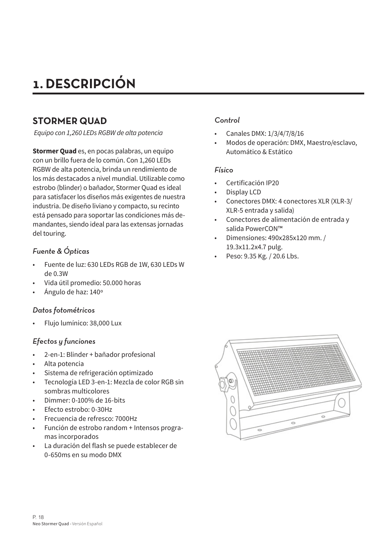# **1. DESCRIPCIÓN**

# **STORMER QUAD**

 *Equipo con 1,260 LEDs RGBW de alta potencia*

**Stormer Quad** es, en pocas palabras, un equipo con un brillo fuera de lo común. Con 1,260 LEDs RGBW de alta potencia, brinda un rendimiento de los más destacados a nivel mundial. Utilizable como estrobo (blinder) o bañador, Stormer Quad es ideal para satisfacer los diseños más exigentes de nuestra industria. De diseño liviano y compacto, su recinto está pensado para soportar las condiciones más demandantes, siendo ideal para las extensas jornadas del touring.

#### *Fuente & Ópticas*

- Fuente de luz: 630 LEDs RGB de 1W, 630 LEDs W de 0.3W
- Vida útil promedio: 50.000 horas
- Ángulo de haz: 140º

#### *Datos fotométricos*

• Flujo lumínico: 38,000 Lux

#### *Efectos y funciones*

- 2-en-1: Blinder + bañador profesional
- Alta potencia
- Sistema de refrigeración optimizado
- Tecnología LED 3-en-1: Mezcla de color RGB sin sombras multicolores
- Dimmer: 0-100% de 16-bits
- Efecto estrobo: 0-30Hz
- Frecuencia de refresco: 7000Hz
- Función de estrobo random + Intensos programas incorporados
- La duración del flash se puede establecer de 0-650ms en su modo DMX

#### *Control*

- Canales DMX: 1/3/4/7/8/16
- Modos de operación: DMX, Maestro/esclavo, Automático & Estático

#### *Físico*

- Certificación IP20
- Display LCD
- Conectores DMX: 4 conectores XLR (XLR-3/ XLR-5 entrada y salida)
- Conectores de alimentación de entrada y salida PowerCON™
- Dimensiones: 490x285x120 mm. / 19.3x11.2x4.7 pulg.
- Peso: 9.35 Kg. / 20.6 Lbs.

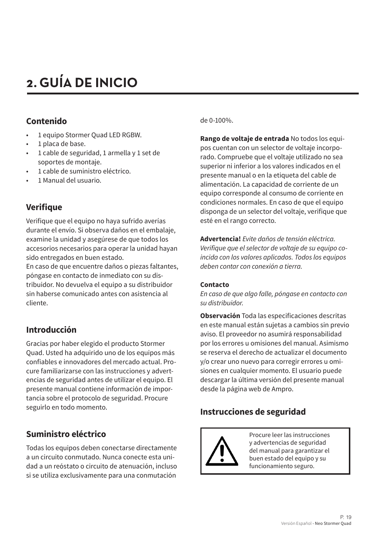# **2. GUÍA DE INICIO**

# **Contenido**

- 1 equipo Stormer Quad LED RGBW.
- 1 placa de base.
- 1 cable de seguridad, 1 armella y 1 set de soportes de montaje.
- 1 cable de suministro eléctrico.
- 1 Manual del usuario.

# **Verifique**

Verifique que el equipo no haya sufrido averías durante el envío. Si observa daños en el embalaje, examine la unidad y asegúrese de que todos los accesorios necesarios para operar la unidad hayan sido entregados en buen estado.

En caso de que encuentre daños o piezas faltantes, póngase en contacto de inmediato con su distribuidor. No devuelva el equipo a su distribuidor sin haberse comunicado antes con asistencia al cliente.

# **Introducción**

Gracias por haber elegido el producto Stormer Quad. Usted ha adquirido uno de los equipos más confiables e innovadores del mercado actual. Procure familiarizarse con las instrucciones y advertencias de seguridad antes de utilizar el equipo. El presente manual contiene información de importancia sobre el protocolo de seguridad. Procure seguirlo en todo momento.

# **Suministro eléctrico**

Todas los equipos deben conectarse directamente a un circuito conmutado. Nunca conecte esta unidad a un reóstato o circuito de atenuación, incluso si se utiliza exclusivamente para una conmutación

de 0-100%.

**Rango de voltaje de entrada** No todos los equipos cuentan con un selector de voltaje incorporado. Compruebe que el voltaje utilizado no sea superior ni inferior a los valores indicados en el presente manual o en la etiqueta del cable de alimentación. La capacidad de corriente de un equipo corresponde al consumo de corriente en condiciones normales. En caso de que el equipo disponga de un selector del voltaje, verifique que esté en el rango correcto.

**Advertencia!** *Evite daños de tensión eléctrica.*  Verifique que el selector de voltaje de su equipo co*incida con los valores aplicados. Todos los equipos*  deben contar con conexión a tierra.

#### **Contacto**

*En caso de que algo falle, póngase en contacto con*  su distribuidor.

**Observación** Toda las especificaciones descritas en este manual están sujetas a cambios sin previo aviso. El proveedor no asumirá responsabilidad por los errores u omisiones del manual. Asimismo se reserva el derecho de actualizar el documento y/o crear uno nuevo para corregir errores u omisiones en cualquier momento. El usuario puede descargar la última versión del presente manual desde la página web de Ampro.

# **Instrucciones de seguridad**



Procure leer las instrucciones y advertencias de seguridad del manual para garantizar el buen estado del equipo y su funcionamiento seguro.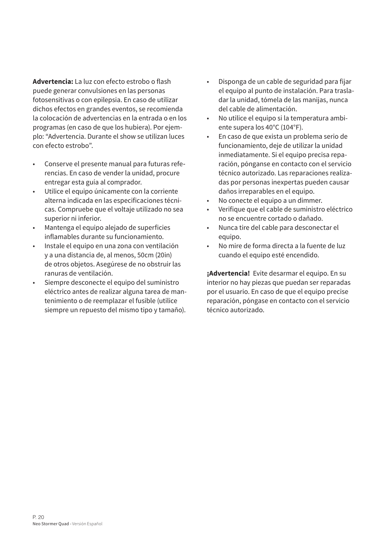**Advertencia:** La luz con efecto estrobo o flash puede generar convulsiones en las personas fotosensitivas o con epilepsia. En caso de utilizar dichos efectos en grandes eventos, se recomienda la colocación de advertencias en la entrada o en los programas (en caso de que los hubiera). Por ejemplo: "Advertencia. Durante el show se utilizan luces con efecto estrobo".

- Conserve el presente manual para futuras referencias. En caso de vender la unidad, procure entregar esta guía al comprador.
- Utilice el equipo únicamente con la corriente alterna indicada en las especificaciones técnicas. Compruebe que el voltaje utilizado no sea superior ni inferior.
- Mantenga el equipo alejado de superficies inflamables durante su funcionamiento.
- Instale el equipo en una zona con ventilación y a una distancia de, al menos, 50cm (20in) de otros objetos. Asegúrese de no obstruir las ranuras de ventilación.
- Siempre desconecte el equipo del suministro eléctrico antes de realizar alguna tarea de mantenimiento o de reemplazar el fusible (utilice siempre un repuesto del mismo tipo y tamaño).
- Disponga de un cable de seguridad para fijar el equipo al punto de instalación. Para trasladar la unidad, tómela de las manijas, nunca del cable de alimentación.
- No utilice el equipo si la temperatura ambiente supera los 40°C (104°F).
- En caso de que exista un problema serio de funcionamiento, deje de utilizar la unidad inmediatamente. Si el equipo precisa reparación, pónganse en contacto con el servicio técnico autorizado. Las reparaciones realizadas por personas inexpertas pueden causar daños irreparables en el equipo.
- No conecte el equipo a un dimmer.
- Verifique que el cable de suministro eléctrico no se encuentre cortado o dañado.
- Nunca tire del cable para desconectar el equipo.
- No mire de forma directa a la fuente de luz cuando el equipo esté encendido.

**¡Advertencia!** Evite desarmar el equipo. En su interior no hay piezas que puedan ser reparadas por el usuario. En caso de que el equipo precise reparación, póngase en contacto con el servicio técnico autorizado.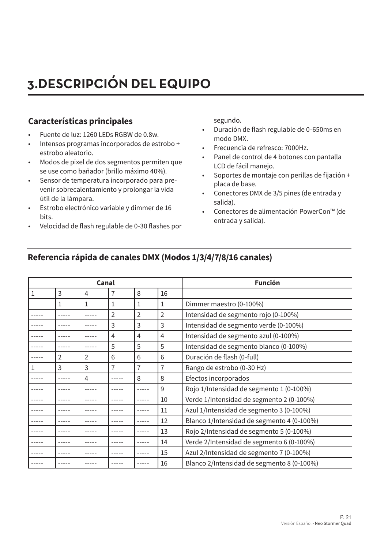# **3.DESCRIPCIÓN DEL EQUIPO**

# **Características principales**

- Fuente de luz: 1260 LEDs RGBW de 0.8w.
- Intensos programas incorporados de estrobo + estrobo aleatorio.
- Modos de pixel de dos segmentos permiten que se use como bañador (brillo máximo 40%).
- Sensor de temperatura incorporado para prevenir sobrecalentamiento y prolongar la vida útil de la lámpara.
- Estrobo electrónico variable y dimmer de 16 bits.
- Velocidad de flash regulable de 0-30 flashes por

segundo.

- Duración de flash regulable de 0-650ms en modo DMX.
- Frecuencia de refresco: 7000Hz.
- Panel de control de 4 botones con pantalla LCD de fácil manejo.
- Soportes de montaje con perillas de fijación + placa de base.
- Conectores DMX de 3/5 pines (de entrada y salida).
- Conectores de alimentación PowerCon™ (de entrada y salida).

| Canal |   |   |                |                | <b>Función</b> |                                            |
|-------|---|---|----------------|----------------|----------------|--------------------------------------------|
| 1     | 3 | 4 | 7              | 8              | 16             |                                            |
|       | 1 | 1 | 1              | 1              | 1              | Dimmer maestro (0-100%)                    |
|       |   |   | $\overline{2}$ | $\overline{2}$ | $\overline{2}$ | Intensidad de segmento rojo (0-100%)       |
|       |   |   | 3              | 3              | 3              | Intensidad de segmento verde (0-100%)      |
|       |   |   | 4              | 4              | 4              | Intensidad de segmento azul (0-100%)       |
|       |   |   | 5              | 5              | 5              | Intensidad de segmento blanco (0-100%)     |
|       | 2 | 2 | 6              | 6              | 6              | Duración de flash (0-full)                 |
|       | 3 | 3 | 7              | 7              | 7              | Rango de estrobo (0-30 Hz)                 |
|       |   | 4 |                | 8              | 8              | Efectos incorporados                       |
|       |   |   |                |                | 9              | Rojo 1/Intensidad de segmento 1 (0-100%)   |
|       |   |   |                |                | 10             | Verde 1/Intensidad de segmento 2 (0-100%)  |
|       |   |   |                |                | 11             | Azul 1/Intensidad de segmento 3 (0-100%)   |
|       |   |   |                |                | 12             | Blanco 1/Intensidad de segmento 4 (0-100%) |
|       |   |   |                |                | 13             | Rojo 2/Intensidad de segmento 5 (0-100%)   |
|       |   |   |                |                | 14             | Verde 2/Intensidad de segmento 6 (0-100%)  |
|       |   |   |                |                | 15             | Azul 2/Intensidad de segmento 7 (0-100%)   |
|       |   |   |                |                | 16             | Blanco 2/Intensidad de segmento 8 (0-100%) |

# **Referencia rápida de canales DMX (Modos 1/3/4/7/8/16 canales)**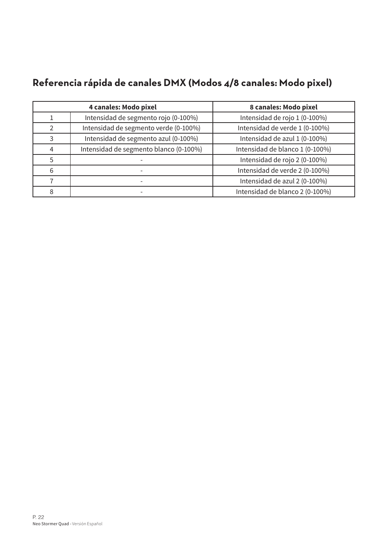# **Referencia rápida de canales DMX (Modos 4/8 canales: Modo pixel)**

|   | 4 canales: Modo pixel                  | 8 canales: Modo pixel           |
|---|----------------------------------------|---------------------------------|
|   | Intensidad de segmento rojo (0-100%)   | Intensidad de rojo 1 (0-100%)   |
|   | Intensidad de segmento verde (0-100%)  | Intensidad de verde 1 (0-100%)  |
| 3 | Intensidad de segmento azul (0-100%)   | Intensidad de azul 1 (0-100%)   |
| 4 | Intensidad de segmento blanco (0-100%) | Intensidad de blanco 1 (0-100%) |
| 5 |                                        | Intensidad de rojo 2 (0-100%)   |
| 6 |                                        | Intensidad de verde 2 (0-100%)  |
|   |                                        | Intensidad de azul 2 (0-100%)   |
| 8 |                                        | Intensidad de blanco 2 (0-100%) |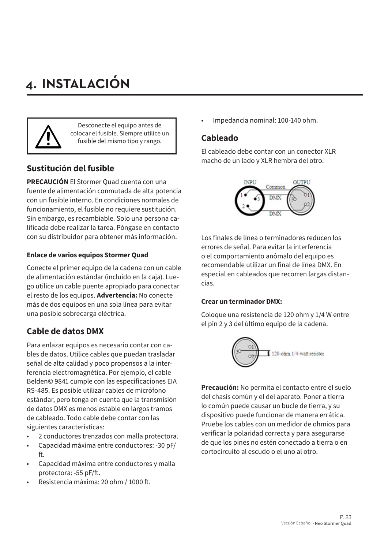# **4. INSTALACIÓN**



Desconecte el equipo antes de colocar el fusible. Siempre utilice un fusible del mismo tipo y rango.

# **Sustitución del fusible**

**PRECAUCIÓN** El Stormer Quad cuenta con una fuente de alimentación conmutada de alta potencia con un fusible interno. En condiciones normales de funcionamiento, el fusible no requiere sustitución. Sin embargo, es recambiable. Solo una persona calificada debe realizar la tarea. Póngase en contacto con su distribuidor para obtener más información.

#### **Enlace de varios equipos Stormer Quad**

Conecte el primer equipo de la cadena con un cable de alimentación estándar (incluido en la caja). Luego utilice un cable puente apropiado para conectar el resto de los equipos. **Advertencia:** No conecte más de dos equipos en una sola línea para evitar una posible sobrecarga eléctrica.

# **Cable de datos DMX**

Para enlazar equipos es necesario contar con cables de datos. Utilice cables que puedan trasladar señal de alta calidad y poco propensos a la interferencia electromagnética. Por ejemplo, el cable Belden© 9841 cumple con las especificaciones EIA RS-485. Es posible utilizar cables de micrófono estándar, pero tenga en cuenta que la transmisión de datos DMX es menos estable en largos tramos de cableado. Todo cable debe contar con las siguientes características:

- 2 conductores trenzados con malla protectora.
- Capacidad máxima entre conductores: -30 pF/ ft.
- Capacidad máxima entre conductores y malla protectora: -55 pF/ft.
- Resistencia máxima: 20 ohm / 1000 ft.

• Impedancia nominal: 100-140 ohm.

### **Cableado**

El cableado debe contar con un conector XLR macho de un lado y XLR hembra del otro.



Los finales de línea o terminadores reducen los errores de señal. Para evitar la interferencia o el comportamiento anómalo del equipo es recomendable utilizar un final de línea DMX. En especial en cableados que recorren largas distancias.

#### **Crear un terminador DMX:**

Coloque una resistencia de 120 ohm y 1/4 W entre el pin 2 y 3 del último equipo de la cadena.



**Precaución:** No permita el contacto entre el suelo del chasis común y el del aparato. Poner a tierra lo común puede causar un bucle de tierra, y su dispositivo puede funcionar de manera errática. Pruebe los cables con un medidor de ohmios para verificar la polaridad correcta y para asegurarse de que los pines no estén conectado a tierra o en cortocircuito al escudo o el uno al otro.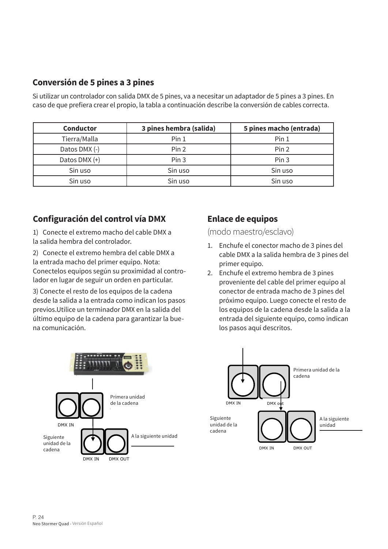# **Conversión de 5 pines a 3 pines**

Si utilizar un controlador con salida DMX de 5 pines, va a necesitar un adaptador de 5 pines a 3 pines. En caso de que prefiera crear el propio, la tabla a continuación describe la conversión de cables correcta.

| <b>Conductor</b> | 3 pines hembra (salida) | 5 pines macho (entrada) |
|------------------|-------------------------|-------------------------|
| Tierra/Malla     | Pin <sub>1</sub>        | Pin 1                   |
| Datos DMX (-)    | Pin 2                   | Pin 2                   |
| Datos DMX (+)    | Pin <sub>3</sub>        | Pin <sub>3</sub>        |
| Sin uso          | Sin uso                 | Sin uso                 |
| Sin uso          | Sin uso                 | Sin uso                 |

# **Configuración del control vía DMX**

1) Conecte el extremo macho del cable DMX a la salida hembra del controlador.

2) Conecte el extremo hembra del cable DMX a la entrada macho del primer equipo. Nota: Conectelos equipos según su proximidad al controlador en lugar de seguir un orden en particular.

3) Conecte el resto de los equipos de la cadena desde la salida a la entrada como indican los pasos previos.Utilice un terminador DMX en la salida del último equipo de la cadena para garantizar la buena comunicación.

# **Enlace de equipos**

(modo maestro/esclavo)

- 1. Enchufe el conector macho de 3 pines del cable DMX a la salida hembra de 3 pines del primer equipo.
- 2. Enchufe el extremo hembra de 3 pines proveniente del cable del primer equipo al conector de entrada macho de 3 pines del próximo equipo. Luego conecte el resto de los equipos de la cadena desde la salida a la entrada del siguiente equipo, como indican los pasos aquí descritos.



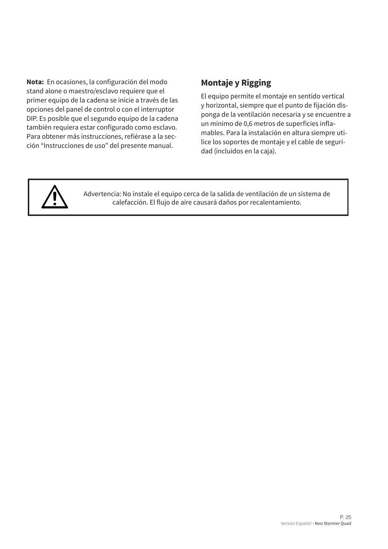**Nota:** En ocasiones, la configuración del modo stand alone o maestro/esclavo requiere que el primer equipo de la cadena se inicie a través de las opciones del panel de control o con el interruptor DIP. Es posible que el segundo equipo de la cadena también requiera estar configurado como esclavo. Para obtener más instrucciones, refiérase a la sección "Instrucciones de uso" del presente manual.

# **Montaje y Rigging**

El equipo permite el montaje en sentido vertical y horizontal, siempre que el punto de fijación disponga de la ventilación necesaria y se encuentre a un mínimo de 0,6 metros de superficies inflamables. Para la instalación en altura siempre utilice los soportes de montaje y el cable de seguridad (incluidos en la caja).



Advertencia: No instale el equipo cerca de la salida de ventilación de un sistema de calefacción. El flujo de aire causará daños por recalentamiento.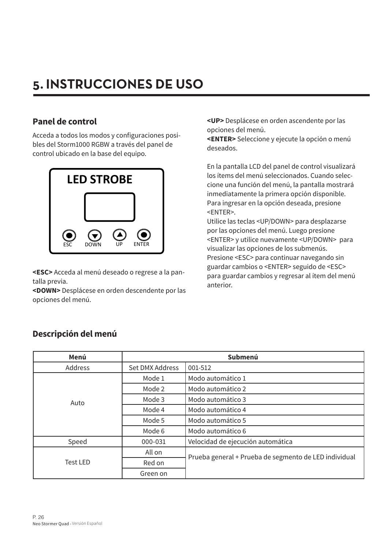# **5. INSTRUCCIONES DE USO**

# **Panel de control**

Acceda a todos los modos y configuraciones posibles del Storm1000 RGBW a través del panel de control ubicado en la base del equipo.



**<ESC>** Acceda al menú deseado o regrese a la pantalla previa.

**<DOWN>** Desplácese en orden descendente por las opciones del menú.

**<UP>** Desplácese en orden ascendente por las opciones del menú.

**<ENTER>** Seleccione y ejecute la opción o menú deseados.

En la pantalla LCD del panel de control visualizará los ítems del menú seleccionados. Cuando seleccione una función del menú, la pantalla mostrará inmediatamente la primera opción disponible. Para ingresar en la opción deseada, presione <ENTER>.

Utilice las teclas <UP/DOWN> para desplazarse por las opciones del menú. Luego presione <ENTER> y utilice nuevamente <UP/DOWN> para visualizar las opciones de los submenús. Presione <ESC> para continuar navegando sin guardar cambios o <ENTER> seguido de <ESC> para guardar cambios y regresar al ítem del menú anterior.

| Menú             |                 | Submenú                                               |
|------------------|-----------------|-------------------------------------------------------|
| Address          | Set DMX Address | 001-512                                               |
|                  | Mode 1          | Modo automático 1                                     |
|                  | Mode 2          | Modo automático 2                                     |
| Auto             | Mode 3          | Modo automático 3                                     |
|                  | Mode 4          | Modo automático 4                                     |
|                  | Mode 5          | Modo automático 5                                     |
|                  | Mode 6          | Modo automático 6                                     |
| Speed<br>000-031 |                 | Velocidad de ejecución automática                     |
|                  | All on          | Prueba general + Prueba de segmento de LED individual |
| <b>Test LED</b>  | Red on          |                                                       |
|                  | Green on        |                                                       |

# **Descripción del menú**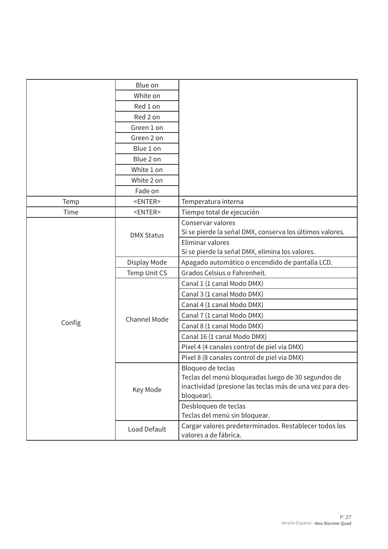|        | Blue on             |                                                                                |
|--------|---------------------|--------------------------------------------------------------------------------|
|        | White on            |                                                                                |
|        | Red 1 on            |                                                                                |
|        | Red 2 on            |                                                                                |
|        | Green 1 on          |                                                                                |
|        | Green 2 on          |                                                                                |
|        | Blue 1 on           |                                                                                |
|        | Blue 2 on           |                                                                                |
|        | White 1 on          |                                                                                |
|        | White 2 on          |                                                                                |
|        | Fade on             |                                                                                |
| Temp   | $<$ ENTER $>$       | Temperatura interna                                                            |
| Time   | <enter></enter>     | Tiempo total de ejecución                                                      |
|        |                     | Conservar valores                                                              |
|        | <b>DMX Status</b>   | Si se pierde la señal DMX, conserva los últimos valores.                       |
|        |                     | Eliminar valores                                                               |
|        |                     | Si se pierde la señal DMX, elimina los valores.                                |
|        | Display Mode        | Apagado automático o encendido de pantalla LCD.                                |
|        | Temp Unit CS        | Grados Celsius o Fahrenheit.                                                   |
|        |                     | Canal 1 (1 canal Modo DMX)                                                     |
|        |                     | Canal 3 (1 canal Modo DMX)                                                     |
|        |                     | Canal 4 (1 canal Modo DMX)                                                     |
|        | <b>Channel Mode</b> | Canal 7 (1 canal Modo DMX)                                                     |
| Config |                     | Canal 8 (1 canal Modo DMX)                                                     |
|        |                     | Canal 16 (1 canal Modo DMX)                                                    |
|        |                     | Pixel 4 (4 canales control de piel vía DMX)                                    |
|        |                     | Pixel 8 (8 canales control de piel vía DMX)                                    |
|        |                     | Bloqueo de teclas                                                              |
|        |                     | Teclas del menú bloqueadas luego de 30 segundos de                             |
|        | Key Mode            | inactividad (presione las teclas más de una vez para des-                      |
|        |                     | bloquear).                                                                     |
|        |                     | Desbloqueo de teclas                                                           |
|        |                     | Teclas del menú sin bloquear.                                                  |
|        | Load Default        | Cargar valores predeterminados. Restablecer todos los<br>valores a de fábrica. |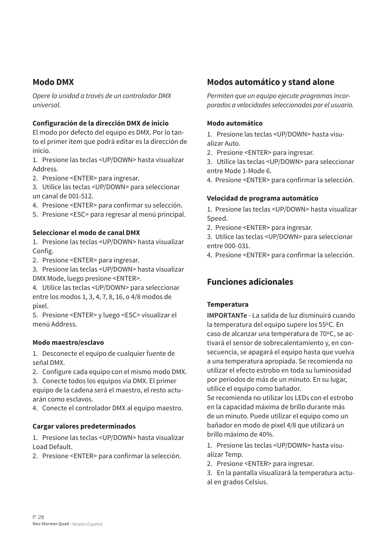# **Modo DMX**

Opere la unidad a través de un controlador DMX *universal.* 

#### **Configuración de la dirección DMX de inicio**

El modo por defecto del equipo es DMX. Por lo tanto el primer ítem que podrá editar es la dirección de inicio.

1. Presione las teclas <UP/DOWN> hasta visualizar Address.

2. Presione <ENTER> para ingresar.

3. Utilice las teclas <UP/DOWN> para seleccionar un canal de 001-512.

- 4. Presione <ENTER> para confirmar su selección.
- 5. Presione <ESC> para regresar al menú principal.

#### **Seleccionar el modo de canal DMX**

1. Presione las teclas <UP/DOWN> hasta visualizar Config.

2. Presione <ENTER> para ingresar.

3. Presione las teclas <UP/DOWN> hasta visualizar DMX Mode, luego presione <ENTER>.

4. Utilice las teclas <UP/DOWN> para seleccionar entre los modos 1, 3, 4, 7, 8, 16, o 4/8 modos de pixel.

5. Presione <ENTER> y luego <ESC> visualizar el menú Address.

#### **Modo maestro/esclavo**

1. Desconecte el equipo de cualquier fuente de señal DMX.

2. Configure cada equipo con el mismo modo DMX.

3. Conecte todos los equipos vía DMX. El primer equipo de la cadena será el maestro, el resto actuarán como esclavos.

4. Conecte el controlador DMX al equipo maestro.

#### **Cargar valores predeterminados**

1. Presione las teclas <UP/DOWN> hasta visualizar Load Default.

2. Presione <ENTER> para confirmar la selección.

### **Modos automático y stand alone**

Permiten que un equipo ejecute programas incor*porados a velocidades seleccionadas por el usuario.*

#### **Modo automático**

1. Presione las teclas <UP/DOWN> hasta visualizar Auto.

2. Presione <ENTER> para ingresar.

3. Utilice las teclas <UP/DOWN> para seleccionar entre Mode 1-Mode 6.

4. Presione <ENTER> para confirmar la selección.

#### **Velocidad de programa automático**

1. Presione las teclas <UP/DOWN> hasta visualizar Speed.

2. Presione <ENTER> para ingresar.

3. Utilice las teclas <UP/DOWN> para seleccionar entre 000-031.

4. Presione <ENTER> para confirmar la selección.

# **Funciones adicionales**

#### **Temperatura**

**IMPORTANTe** - La salida de luz disminuirá cuando la temperatura del equipo supere los 55ºC. En caso de alcanzar una temperatura de 70ºC, se activará el sensor de sobrecalentamiento y, en consecuencia, se apagará el equipo hasta que vuelva a una temperatura apropiada. Se recomienda no utilizar el efecto estrobo en toda su luminosidad por periodos de más de un minuto. En su lugar, utilice el equipo como bañador.

Se recomienda no utilizar los LEDs con el estrobo en la capacidad máxima de brillo durante más de un minuto. Puede utilizar el equipo como un bañador en modo de pixel 4/8 que utilizará un brillo máximo de 40%.

1. Presione las teclas <UP/DOWN> hasta visualizar Temp.

- 2. Presione <ENTER> para ingresar.
- 3. En la pantalla visualizará la temperatura actual en grados Celsius.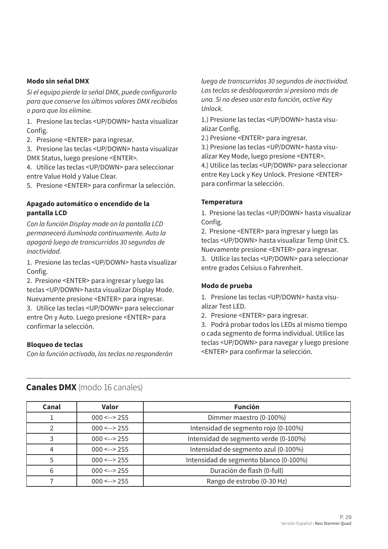#### **Modo sin señal DMX**

Si el equipo pierde la señal DMX, puede configurarlo para que conserve los últimos valores DMX recibidos *o para que los elimine.*

1. Presione las teclas <UP/DOWN> hasta visualizar Config.

2. Presione <ENTER> para ingresar.

3. Presione las teclas <UP/DOWN> hasta visualizar DMX Status, luego presione <ENTER>.

4. Utilice las teclas <UP/DOWN> para seleccionar entre Value Hold y Value Clear.

5. Presione <ENTER> para confirmar la selección.

#### **Apagado automático o encendido de la pantalla LCD**

*Con la función Display mode on la pantalla LCD permanecerá iluminada continuamente. Auto la*  apagará luego de transcurridos 30 segundos de *inactividad.* 

1. Presione las teclas <UP/DOWN> hasta visualizar Config.

2. Presione <ENTER> para ingresar y luego las teclas <UP/DOWN> hasta visualizar Display Mode. Nuevamente presione <ENTER> para ingresar. 3. Utilice las teclas <UP/DOWN> para seleccionar

entre On y Auto. Luego presione <ENTER> para confirmar la selección.

#### **Bloqueo de teclas**

*Con la función activada, las teclas no responderán* 

luego de transcurridos 30 segundos de inactividad. Las teclas se desbloquearán si presiona más de *una. Si no desea usar esta función, active Key*  Unlock.

1.) Presione las teclas <UP/DOWN> hasta visualizar Config.

2.) Presione <ENTER> para ingresar.

3.) Presione las teclas <UP/DOWN> hasta visualizar Key Mode, luego presione <ENTER>. 4.) Utilice las teclas <UP/DOWN> para seleccionar

entre Key Lock y Key Unlock. Presione <ENTER> para confirmar la selección.

#### **Temperatura**

1. Presione las teclas <UP/DOWN> hasta visualizar Config.

2. Presione <ENTER> para ingresar y luego las teclas <UP/DOWN> hasta visualizar Temp Unit CS. Nuevamente presione <ENTER> para ingresar.

3. Utilice las teclas <UP/DOWN> para seleccionar entre grados Celsius o Fahrenheit.

#### **Modo de prueba**

1. Presione las teclas <UP/DOWN> hasta visualizar Test LED.

2. Presione <ENTER> para ingresar.

3. Podrá probar todos los LEDs al mismo tiempo o cada segmento de forma individual. Utilice las teclas <UP/DOWN> para navegar y luego presione <ENTER> para confirmar la selección.

| Canal | <b>Valor</b>   | <b>Función</b>                         |
|-------|----------------|----------------------------------------|
|       | $000 \le -255$ | Dimmer maestro (0-100%)                |
|       | $000 \le -255$ | Intensidad de segmento rojo (0-100%)   |
|       | $000 \le -255$ | Intensidad de segmento verde (0-100%)  |
| 4     | $000 \le -255$ | Intensidad de segmento azul (0-100%)   |
| 5     | $000 \le -255$ | Intensidad de segmento blanco (0-100%) |
| 6     | $000 \le -255$ | Duración de flash (0-full)             |
|       | $000 \le -255$ | Rango de estrobo (0-30 Hz)             |

#### **Canales DMX** (modo 16 canales)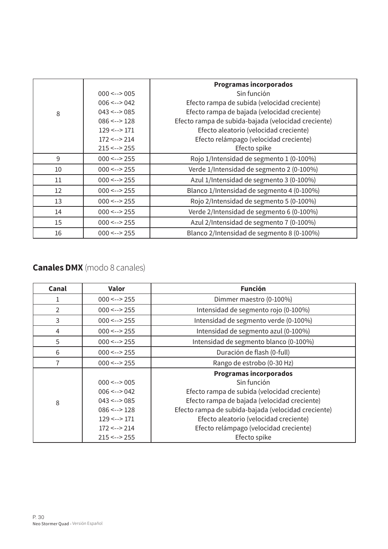|    |                        | <b>Programas incorporados</b>                       |
|----|------------------------|-----------------------------------------------------|
|    | $000 \le -2005$        | Sin función                                         |
|    | $006 \leftarrow$ > 042 | Efecto rampa de subida (velocidad creciente)        |
| 8  | $043 \le -2085$        | Efecto rampa de bajada (velocidad creciente)        |
|    | $086 \leftarrow 128$   | Efecto rampa de subida-bajada (velocidad creciente) |
|    | $129 \leftarrow 171$   | Efecto aleatorio (velocidad creciente)              |
|    | $172 \leftarrow 214$   | Efecto relámpago (velocidad creciente)              |
|    | $215 \leftarrow$ 255   | Efecto spike                                        |
| 9  | $000 \le -255$         | Rojo 1/Intensidad de segmento 1 (0-100%)            |
| 10 | $000 \le -255$         | Verde 1/Intensidad de segmento 2 (0-100%)           |
| 11 | $000 \le -255$         | Azul 1/Intensidad de segmento 3 (0-100%)            |
| 12 | $000 \le -255$         | Blanco 1/Intensidad de segmento 4 (0-100%)          |
| 13 | $000 \le -255$         | Rojo 2/Intensidad de segmento 5 (0-100%)            |
| 14 | $000 \le -255$         | Verde 2/Intensidad de segmento 6 (0-100%)           |
| 15 | $000 \le -255$         | Azul 2/Intensidad de segmento 7 (0-100%)            |
| 16 | $000 \le -255$         | Blanco 2/Intensidad de segmento 8 (0-100%)          |

# **Canales DMX** (modo 8 canales)

| Canal         | <b>Valor</b>         | <b>Función</b>                                      |
|---------------|----------------------|-----------------------------------------------------|
| T             | $000 \le -255$       | Dimmer maestro (0-100%)                             |
| $\mathcal{P}$ | $000 \le -255$       | Intensidad de segmento rojo (0-100%)                |
| 3             | $000 \le -255$       | Intensidad de segmento verde (0-100%)               |
| 4             | $000 \le -255$       | Intensidad de segmento azul (0-100%)                |
| 5             | $000 \le -255$       | Intensidad de segmento blanco (0-100%)              |
| 6             | $000 \le -255$       | Duración de flash (0-full)                          |
|               | $000 \le -255$       | Rango de estrobo (0-30 Hz)                          |
|               |                      | <b>Programas incorporados</b>                       |
|               | $000 \le -2005$      | Sin función                                         |
|               | $006 \le -5042$      | Efecto rampa de subida (velocidad creciente)        |
| 8             | $043 \leftarrow 085$ | Efecto rampa de bajada (velocidad creciente)        |
|               | $086 \leftarrow 128$ | Efecto rampa de subida-bajada (velocidad creciente) |
|               | $129 \leftarrow 171$ | Efecto aleatorio (velocidad creciente)              |
|               | $172 \leftarrow 214$ | Efecto relámpago (velocidad creciente)              |
|               | $215 \leftarrow 255$ | Efecto spike                                        |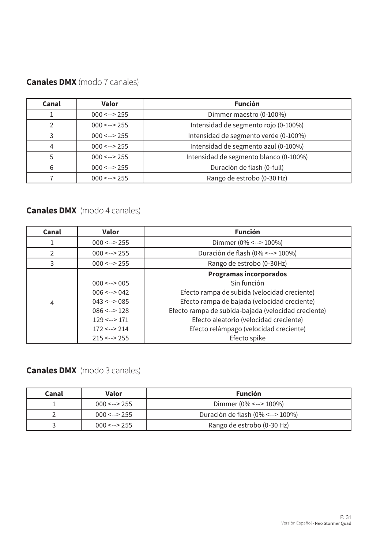| <b>Canales DMX</b> (modo 7 canales) |  |  |  |
|-------------------------------------|--|--|--|
|-------------------------------------|--|--|--|

| Canal | <b>Valor</b>   | <b>Función</b>                         |
|-------|----------------|----------------------------------------|
|       | $000 \le -255$ | Dimmer maestro (0-100%)                |
|       | $000 \le -255$ | Intensidad de segmento rojo (0-100%)   |
|       | $000 \le -255$ | Intensidad de segmento verde (0-100%)  |
|       | $000 \le -255$ | Intensidad de segmento azul (0-100%)   |
|       | $000 \le -255$ | Intensidad de segmento blanco (0-100%) |
| 6     | $000 \le -255$ | Duración de flash (0-full)             |
|       | $000 \le -255$ | Rango de estrobo (0-30 Hz)             |

# **Canales DMX** (modo 4 canales)

| Canal          | <b>Valor</b>         | <b>Función</b>                                      |
|----------------|----------------------|-----------------------------------------------------|
|                | $000 \le -255$       | Dimmer (0% <--> 100%)                               |
| $\overline{2}$ | $000 \le -255$       | Duración de flash (0% <--> 100%)                    |
| 3              | $000 \le -255$       | Rango de estrobo (0-30Hz)                           |
|                |                      | <b>Programas incorporados</b>                       |
|                | $000 \le -2005$      | Sin función                                         |
|                | $006 \le -2042$      | Efecto rampa de subida (velocidad creciente)        |
| 4              | $043 \le -2085$      | Efecto rampa de bajada (velocidad creciente)        |
|                | $086 \le -2128$      | Efecto rampa de subida-bajada (velocidad creciente) |
|                | $129 \le -2171$      | Efecto aleatorio (velocidad creciente)              |
|                | $172 \le -214$       | Efecto relámpago (velocidad creciente)              |
|                | $215 \leftarrow$ 255 | Efecto spike                                        |

# **Canales DMX** (modo 3 canales)

| Canal | Valor          | <b>Función</b>                   |
|-------|----------------|----------------------------------|
|       | $000 \le -255$ | Dimmer (0% <--> 100%)            |
|       | $000 \le -255$ | Duración de flash (0% <--> 100%) |
|       | $000 \le -255$ | Rango de estrobo (0-30 Hz)       |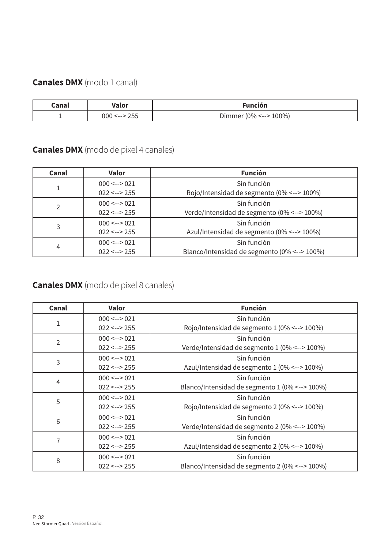# **Canales DMX** (modo 1 canal)

| Canal | Valor      | <b>Función</b>        |
|-------|------------|-----------------------|
|       | 255<br>000 | Dimmer (0% <--> 100%) |

**Canales DMX** (modo de pixel 4 canales)

| Canal         | <b>Valor</b>         | <b>Función</b>                               |
|---------------|----------------------|----------------------------------------------|
|               | $000 \le -2021$      | Sin función                                  |
|               | $022 \leftarrow 255$ | Rojo/Intensidad de segmento (0% <--> 100%)   |
| $\mathcal{P}$ | $000 \le -2021$      | Sin función                                  |
|               | $022 \le -255$       | Verde/Intensidad de segmento (0% <--> 100%)  |
| 3             | $000 \le -2021$      | Sin función                                  |
|               | $022 \le -255$       | Azul/Intensidad de segmento (0% <--> 100%)   |
| 4             | $000 \le -2021$      | Sin función                                  |
|               | $022 \le -255$       | Blanco/Intensidad de segmento (0% <--> 100%) |

**Canales DMX** (modo de pixel 8 canales)

| Canal          | Valor                | <b>Función</b>                                 |
|----------------|----------------------|------------------------------------------------|
|                | $000 \le -\ge 021$   | Sin función                                    |
| 1              | $022 \leftarrow 255$ | Rojo/Intensidad de segmento 1 (0% <--> 100%)   |
| $\overline{2}$ | $000 \le -2021$      | Sin función                                    |
|                | $022 \leftarrow 255$ | Verde/Intensidad de segmento 1 (0% <--> 100%)  |
| 3              | $000 \le -2021$      | Sin función                                    |
|                | $022 \leftarrow 255$ | Azul/Intensidad de segmento 1 (0% <--> 100%)   |
| 4              | $000 \le -2021$      | Sin función                                    |
|                | $022 \leftarrow 255$ | Blanco/Intensidad de segmento 1 (0% <--> 100%) |
| 5              | $000 \le -2021$      | Sin función                                    |
|                | $022 \leftarrow 255$ | Rojo/Intensidad de segmento 2 (0% <--> 100%)   |
| 6              | $000 \le -2021$      | Sin función                                    |
|                | $022 \leftarrow 255$ | Verde/Intensidad de segmento 2 (0% <--> 100%)  |
| 7              | $000 \le -2021$      | Sin función                                    |
|                | $022 \leftarrow 255$ | Azul/Intensidad de segmento 2 (0% <--> 100%)   |
| 8              | $000 \le -2021$      | Sin función                                    |
|                | $022 \le -255$       | Blanco/Intensidad de segmento 2 (0% <--> 100%) |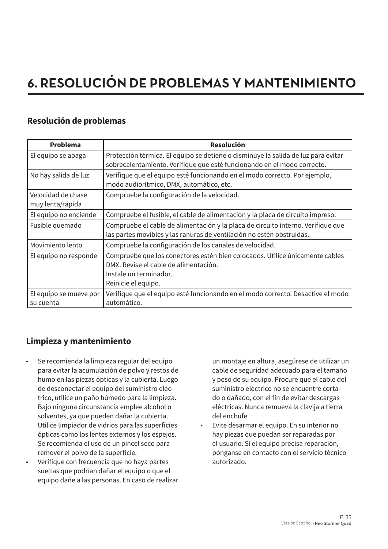# **6. RESOLUCIÓN DE PROBLEMAS Y MANTENIMIENTO**

# **Resolución de problemas**

| <b>Problema</b>                        | <b>Resolución</b>                                                                                                                                                      |
|----------------------------------------|------------------------------------------------------------------------------------------------------------------------------------------------------------------------|
| El equipo se apaga                     | Protección térmica. El equipo se detiene o disminuye la salida de luz para evitar<br>sobrecalentamiento. Verifique que esté funcionando en el modo correcto.           |
| No hay salida de luz                   | Verifique que el equipo esté funcionando en el modo correcto. Por ejemplo,<br>modo audiorítmico, DMX, automático, etc.                                                 |
| Velocidad de chase<br>muy lenta/rápida | Compruebe la configuración de la velocidad.                                                                                                                            |
| El equipo no enciende                  | Compruebe el fusible, el cable de alimentación y la placa de circuito impreso.                                                                                         |
| Fusible quemado                        | Compruebe el cable de alimentación y la placa de circuito interno. Verifique que<br>las partes movibles y las ranuras de ventilación no estén obstruidas.              |
| Movimiento lento                       | Compruebe la configuración de los canales de velocidad.                                                                                                                |
| El equipo no responde                  | Compruebe que los conectores estén bien colocados. Utilice únicamente cables<br>DMX. Revise el cable de alimentación.<br>Instale un terminador.<br>Reinicie el equipo. |
| El equipo se mueve por<br>su cuenta    | Verifique que el equipo esté funcionando en el modo correcto. Desactive el modo<br>automático.                                                                         |

# **Limpieza y mantenimiento**

- Se recomienda la limpieza regular del equipo para evitar la acumulación de polvo y restos de humo en las piezas ópticas y la cubierta. Luego de desconectar el equipo del suministro eléctrico, utilice un paño húmedo para la limpieza. Bajo ninguna circunstancia emplee alcohol o solventes, ya que pueden dañar la cubierta. Utilice limpiador de vidrios para las superficies ópticas como los lentes externos y los espejos. Se recomienda el uso de un pincel seco para remover el polvo de la superficie.
- Verifique con frecuencia que no haya partes sueltas que podrían dañar el equipo o que el equipo dañe a las personas. En caso de realizar

un montaje en altura, asegúrese de utilizar un cable de seguridad adecuado para el tamaño y peso de su equipo. Procure que el cable del suministro eléctrico no se encuentre cortado o dañado, con el fin de evitar descargas eléctricas. Nunca remueva la clavija a tierra del enchufe.

• Evite desarmar el equipo. En su interior no hay piezas que puedan ser reparadas por el usuario. Si el equipo precisa reparación, pónganse en contacto con el servicio técnico autorizado.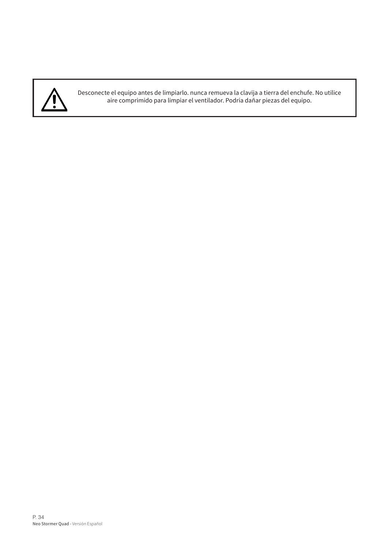

Desconecte el equipo antes de limpiarlo. nunca remueva la clavija a tierra del enchufe. No utilice aire comprimido para limpiar el ventilador. Podría dañar piezas del equipo.